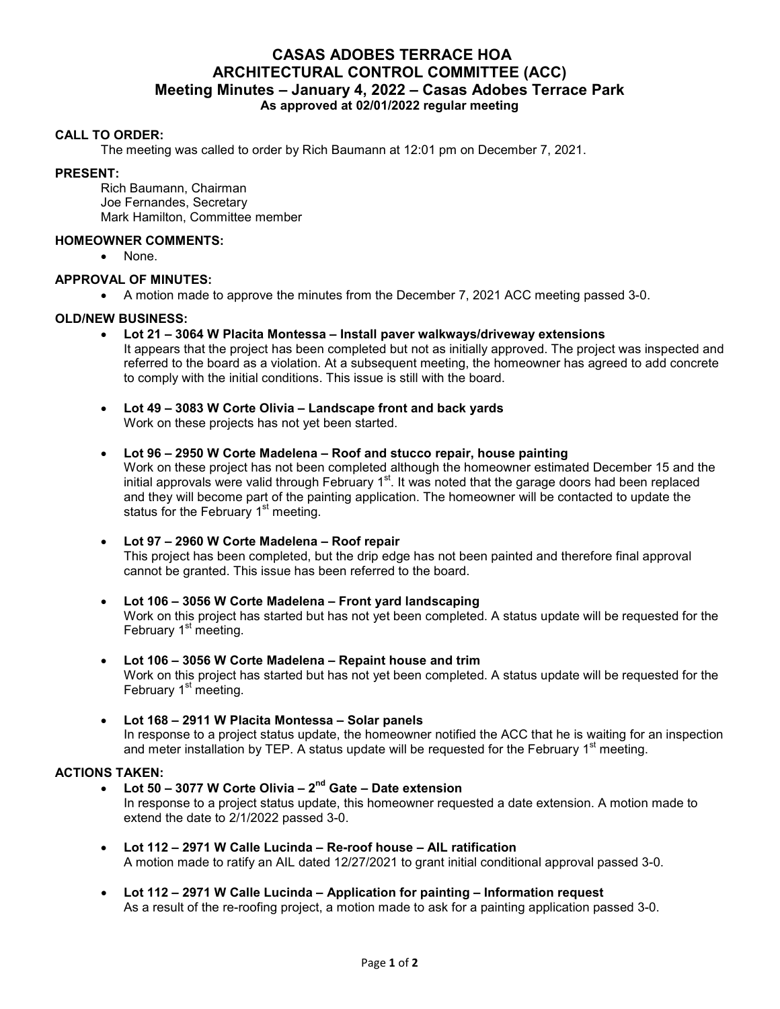# **CASAS ADOBES TERRACE HOA ARCHITECTURAL CONTROL COMMITTEE (ACC) Meeting Minutes – January 4, 2022 – Casas Adobes Terrace Park As approved at 02/01/2022 regular meeting**

## **CALL TO ORDER:**

The meeting was called to order by Rich Baumann at 12:01 pm on December 7, 2021.

#### **PRESENT:**

Rich Baumann, Chairman Joe Fernandes, Secretary Mark Hamilton, Committee member

## **HOMEOWNER COMMENTS:**

• None.

## **APPROVAL OF MINUTES:**

A motion made to approve the minutes from the December 7, 2021 ACC meeting passed 3-0.

## **OLD/NEW BUSINESS:**

- **Lot 21 3064 W Placita Montessa Install paver walkways/driveway extensions** It appears that the project has been completed but not as initially approved. The project was inspected and referred to the board as a violation. At a subsequent meeting, the homeowner has agreed to add concrete to comply with the initial conditions. This issue is still with the board.
- **Lot 49 3083 W Corte Olivia Landscape front and back yards**  Work on these projects has not yet been started.

#### **Lot 96 – 2950 W Corte Madelena – Roof and stucco repair, house painting**

Work on these project has not been completed although the homeowner estimated December 15 and the initial approvals were valid through February  $1<sup>st</sup>$ . It was noted that the garage doors had been replaced and they will become part of the painting application. The homeowner will be contacted to update the status for the February 1<sup>st</sup> meeting.

## **Lot 97 – 2960 W Corte Madelena – Roof repair**

This project has been completed, but the drip edge has not been painted and therefore final approval cannot be granted. This issue has been referred to the board.

- **Lot 106 3056 W Corte Madelena Front yard landscaping**  Work on this project has started but has not yet been completed. A status update will be requested for the February  $1<sup>st</sup>$  meeting.
- **Lot 106 3056 W Corte Madelena Repaint house and trim**  Work on this project has started but has not yet been completed. A status update will be requested for the February  $1<sup>st</sup>$  meeting.
- **Lot 168 2911 W Placita Montessa Solar panels** In response to a project status update, the homeowner notified the ACC that he is waiting for an inspection and meter installation by TEP. A status update will be requested for the February  $1<sup>st</sup>$  meeting.

## **ACTIONS TAKEN:**

- **Lot 50 3077 W Corte Olivia 2nd Gate Date extension**  In response to a project status update, this homeowner requested a date extension. A motion made to extend the date to 2/1/2022 passed 3-0.
- **Lot 112 2971 W Calle Lucinda Re-roof house AIL ratification** A motion made to ratify an AIL dated 12/27/2021 to grant initial conditional approval passed 3-0.
- **Lot 112 2971 W Calle Lucinda Application for painting Information request**  As a result of the re-roofing project, a motion made to ask for a painting application passed 3-0.